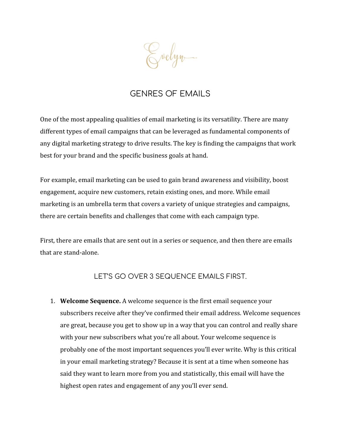Evelyn.

### GENRES OF EMAILS

One of the most appealing qualities of email marketing is its versatility. There are many different types of email campaigns that can be leveraged as fundamental components of any digital marketing strategy to drive results. The key is finding the campaigns that work best for your brand and the specific business goals at hand.

For example, email marketing can be used to gain brand awareness and visibility, boost engagement, acquire new customers, retain existing ones, and more. While email marketing is an umbrella term that covers a variety of unique strategies and campaigns, there are certain benefits and challenges that come with each campaign type.

First, there are emails that are sent out in a series or sequence, and then there are emails that are stand-alone.

LET'S GO OVER 3 SEQUENCE EMAILS FIRST.

1. **Welcome Sequence.** A welcome sequence is the first email sequence your subscribers receive after they've confirmed their email address. Welcome sequences are great, because you get to show up in a way that you can control and really share with your new subscribers what you're all about. Your welcome sequence is probably one of the most important sequences you'll ever write. Why is this critical in your email marketing strategy? Because it is sent at a time when someone has said they want to learn more from you and statistically, this email will have the highest open rates and engagement of any you'll ever send.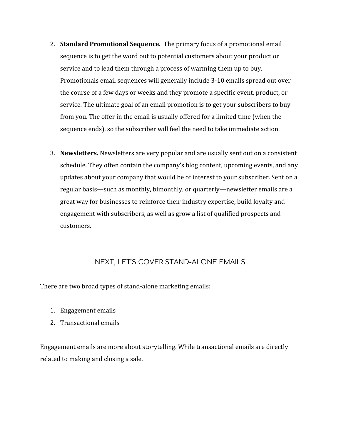- 2. **Standard Promotional Sequence.** The primary focus of a promotional email sequence is to get the word out to potential customers about your product or service and to lead them through a process of warming them up to buy. Promotionals email sequences will generally include 3-10 emails spread out over the course of a few days or weeks and they promote a specific event, product, or service. The ultimate goal of an email promotion is to get your subscribers to buy from you. The offer in the email is usually offered for a limited time (when the sequence ends), so the subscriber will feel the need to take immediate action.
- 3. **Newsletters.** Newsletters are very popular and are usually sent out on a consistent schedule. They often contain the company's blog content, upcoming events, and any updates about your company that would be of interest to your subscriber. Sent on a regular basis—such as monthly, bimonthly, or quarterly—newsletter emails are a great way for businesses to reinforce their industry expertise, build loyalty and engagement with subscribers, as well as grow a list of qualified prospects and customers.

#### NEXT, LET'S COVER STAND-ALONE EMAILS

There are two broad types of stand-alone marketing emails:

- 1. Engagement emails
- 2. Transactional emails

Engagement emails are more about storytelling. While transactional emails are directly related to making and closing a sale.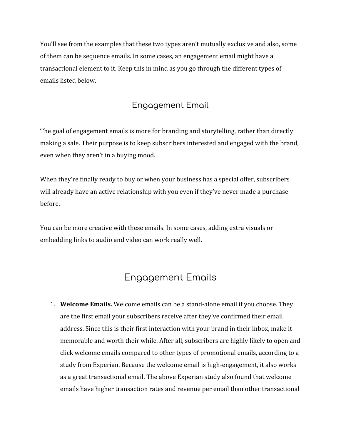You'll see from the examples that these two types aren't mutually exclusive and also, some of them can be sequence emails. In some cases, an engagement email might have a transactional element to it. Keep this in mind as you go through the different types of emails listed below.

### Engagement Email

The goal of engagement emails is more for branding and storytelling, rather than directly making a sale. Their purpose is to keep subscribers interested and engaged with the brand, even when they aren't in a buying mood.

When they're finally ready to buy or when your business has a special offer, subscribers will already have an active relationship with you even if they've never made a purchase before.

You can be more creative with these emails. In some cases, adding extra visuals or embedding links to audio and video can work really well.

# Engagement Emails

1. **Welcome Emails.** Welcome emails can be a stand-alone email if you choose. They are the first email your subscribers receive after they've confirmed their email address. Since this is their first interaction with your brand in their inbox, make it memorable and worth their while. After all, subscribers are highly likely to open and click welcome emails compared to other types of promotional emails, according to a study from Experian. Because the welcome email is high-engagement, it also works as a great transactional email. The above Experian study also found that welcome emails have higher transaction rates and revenue per email than other transactional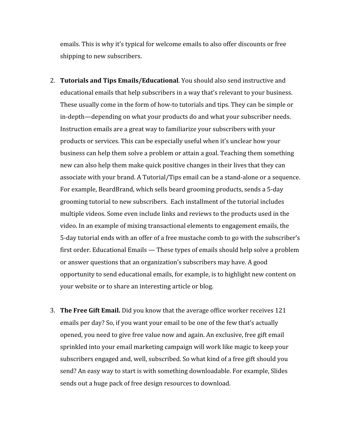emails. This is why it's typical for welcome emails to also offer discounts or free shipping to new subscribers.

- 2. **Tutorials and Tips Emails/Educational**. You should also send instructive and educational emails that help subscribers in a way that's relevant to your business. These usually come in the form of how-to tutorials and tips. They can be simple or in-depth—depending on what your products do and what your subscriber needs. Instruction emails are a great way to familiarize your subscribers with your products or services. This can be especially useful when it's unclear how your business can help them solve a problem or attain a goal. Teaching them something new can also help them make quick positive changes in their lives that they can associate with your brand. A Tutorial/Tips email can be a stand-alone or a sequence. For example, BeardBrand, which sells beard grooming products, sends a 5-day grooming tutorial to new subscribers. Each installment of the tutorial includes multiple videos. Some even include links and reviews to the products used in the video. In an example of mixing transactional elements to engagement emails, the 5-day tutorial ends with an offer of a free mustache comb to go with the subscriber's first order. Educational Emails — These types of emails should help solve a problem or answer questions that an organization's subscribers may have. A good opportunity to send educational emails, for example, is to highlight new content on your website or to share an interesting article or blog.
- 3. **The Free Gift Email.** Did you know that the average office worker receives 121 emails per day? So, if you want your email to be one of the few that's actually opened, you need to give free value now and again. An exclusive, free gift email sprinkled into your email marketing campaign will work like magic to keep your subscribers engaged and, well, subscribed. So what kind of a free gift should you send? An easy way to start is with something downloadable. For example, Slides sends out a huge pack of free design resources to download.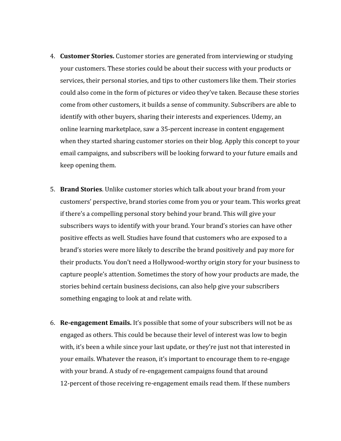- 4. **Customer Stories.** Customer stories are generated from interviewing or studying your customers. These stories could be about their success with your products or services, their personal stories, and tips to other customers like them. Their stories could also come in the form of pictures or video they've taken. Because these stories come from other customers, it builds a sense of community. Subscribers are able to identify with other buyers, sharing their interests and experiences. Udemy, an online learning marketplace, saw a 35-percent increase in content engagement when they started sharing customer stories on their blog. Apply this concept to your email campaigns, and subscribers will be looking forward to your future emails and keep opening them.
- 5. **Brand Stories**. Unlike customer stories which talk about your brand from your customers' perspective, brand stories come from you or your team. This works great if there's a compelling personal story behind your brand. This will give your subscribers ways to identify with your brand. Your brand's stories can have other positive effects as well. Studies have found that customers who are exposed to a brand's stories were more likely to describe the brand positively and pay more for their products. You don't need a Hollywood-worthy origin story for your business to capture people's attention. Sometimes the story of how your products are made, the stories behind certain business decisions, can also help give your subscribers something engaging to look at and relate with.
- 6. **Re-engagement Emails.** It's possible that some of your subscribers will not be as engaged as others. This could be because their level of interest was low to begin with, it's been a while since your last update, or they're just not that interested in your emails. Whatever the reason, it's important to encourage them to re-engage with your brand. A study of re-engagement campaigns found that around 12-percent of those receiving re-engagement emails read them. If these numbers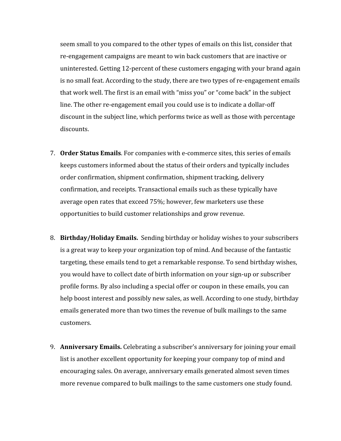seem small to you compared to the other types of emails on this list, consider that re-engagement campaigns are meant to win back customers that are inactive or uninterested. Getting 12-percent of these customers engaging with your brand again is no small feat. According to the study, there are two types of re-engagement emails that work well. The first is an email with "miss you" or "come back" in the subject line. The other re-engagement email you could use is to indicate a dollar-off discount in the subject line, which performs twice as well as those with percentage discounts.

- 7. **Order Status Emails**. For companies with e-commerce sites, this series of emails keeps customers informed about the status of their orders and typically includes order confirmation, shipment confirmation, shipment tracking, delivery confirmation, and receipts. Transactional emails such as these typically have average open rates that exceed 75%; however, few marketers use these opportunities to build customer relationships and grow revenue.
- 8. **Birthday/Holiday Emails.** Sending birthday or holiday wishes to your subscribers is a great way to keep your organization top of mind. And because of the fantastic targeting, these emails tend to get a remarkable response. To send birthday wishes, you would have to collect date of birth information on your sign-up or subscriber profile forms. By also including a special offer or coupon in these emails, you can help boost interest and possibly new sales, as well. According to one study, birthday emails generated more than two times the revenue of bulk mailings to the same customers.
- 9. **Anniversary Emails.** Celebrating a subscriber's anniversary for joining your email list is another excellent opportunity for keeping your company top of mind and encouraging sales. On average, anniversary emails generated almost seven times more revenue compared to bulk mailings to the same customers one study found.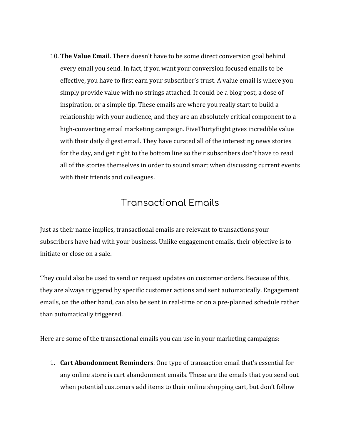10. **The Value Email**. There doesn't have to be some direct conversion goal behind every email you send. In fact, if you want your conversion focused emails to be effective, you have to first earn your subscriber's trust. A value email is where you simply provide value with no strings attached. It could be a blog post, a dose of inspiration, or a simple tip. These emails are where you really start to build a relationship with your audience, and they are an absolutely critical component to a high-converting email marketing campaign. FiveThirtyEight gives incredible value with their daily digest email. They have curated all of the interesting news stories for the day, and get right to the bottom line so their subscribers don't have to read all of the stories themselves in order to sound smart when discussing current events with their friends and colleagues.

## Transactional Emails

Just as their name implies, transactional emails are relevant to transactions your subscribers have had with your business. Unlike engagement emails, their objective is to initiate or close on a sale.

They could also be used to send or request updates on customer orders. Because of this, they are always triggered by specific customer actions and sent automatically. Engagement emails, on the other hand, can also be sent in real-time or on a pre-planned schedule rather than automatically triggered.

Here are some of the transactional emails you can use in your marketing campaigns:

1. **Cart Abandonment Reminders**. One type of transaction email that's essential for any online store is cart abandonment emails. These are the emails that you send out when potential customers add items to their online shopping cart, but don't follow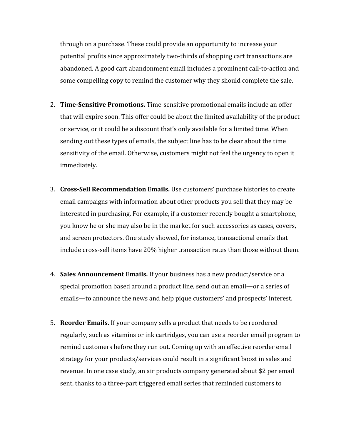through on a purchase. These could provide an opportunity to increase your potential profits since approximately two-thirds of shopping cart transactions are abandoned. A good cart abandonment email includes a prominent call-to-action and some compelling copy to remind the customer why they should complete the sale.

- 2. **Time-Sensitive Promotions.** Time-sensitive promotional emails include an offer that will expire soon. This offer could be about the limited availability of the product or service, or it could be a discount that's only available for a limited time. When sending out these types of emails, the subject line has to be clear about the time sensitivity of the email. Otherwise, customers might not feel the urgency to open it immediately.
- 3. **Cross-Sell Recommendation Emails.** Use customers' purchase histories to create email campaigns with information about other products you sell that they may be interested in purchasing. For example, if a customer recently bought a smartphone, you know he or she may also be in the market for such accessories as cases, covers, and screen protectors. One study showed, for instance, transactional emails that include cross-sell items have 20% higher transaction rates than those without them.
- 4. **Sales Announcement Emails.** If your business has a new product/service or a special promotion based around a product line, send out an email—or a series of emails—to announce the news and help pique customers' and prospects' interest.
- 5. **Reorder Emails.** If your company sells a product that needs to be reordered regularly, such as vitamins or ink cartridges, you can use a reorder email program to remind customers before they run out. Coming up with an effective reorder email strategy for your products/services could result in a significant boost in sales and revenue. In one case study, an air products company generated about \$2 per email sent, thanks to a three-part triggered email series that reminded customers to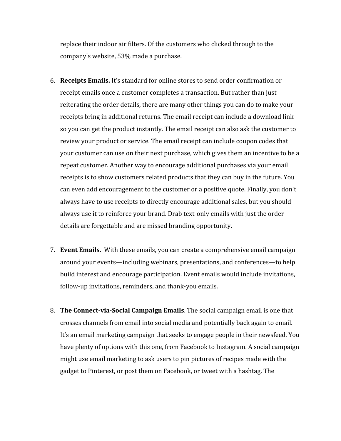replace their indoor air filters. Of the customers who clicked through to the company's website, 53% made a purchase.

- 6. **Receipts Emails.** It's standard for online stores to send order confirmation or receipt emails once a customer completes a transaction. But rather than just reiterating the order details, there are many other things you can do to make your receipts bring in additional returns. The email receipt can include a download link so you can get the product instantly. The email receipt can also ask the customer to review your product or service. The email receipt can include coupon codes that your customer can use on their next purchase, which gives them an incentive to be a repeat customer. Another way to encourage additional purchases via your email receipts is to show customers related products that they can buy in the future. You can even add encouragement to the customer or a positive quote. Finally, you don't always have to use receipts to directly encourage additional sales, but you should always use it to reinforce your brand. Drab text-only emails with just the order details are forgettable and are missed branding opportunity.
- 7. **Event Emails.** With these emails, you can create a comprehensive email campaign around your events—including webinars, presentations, and conferences—to help build interest and encourage participation. Event emails would include invitations, follow-up invitations, reminders, and thank-you emails.
- 8. **The Connect-via-Social Campaign Emails**. The social campaign email is one that crosses channels from email into social media and potentially back again to email. It's an email marketing campaign that seeks to engage people in their newsfeed. You have plenty of options with this one, from Facebook to Instagram. A social campaign might use email marketing to ask users to pin pictures of recipes made with the gadget to Pinterest, or post them on Facebook, or tweet with a hashtag. The